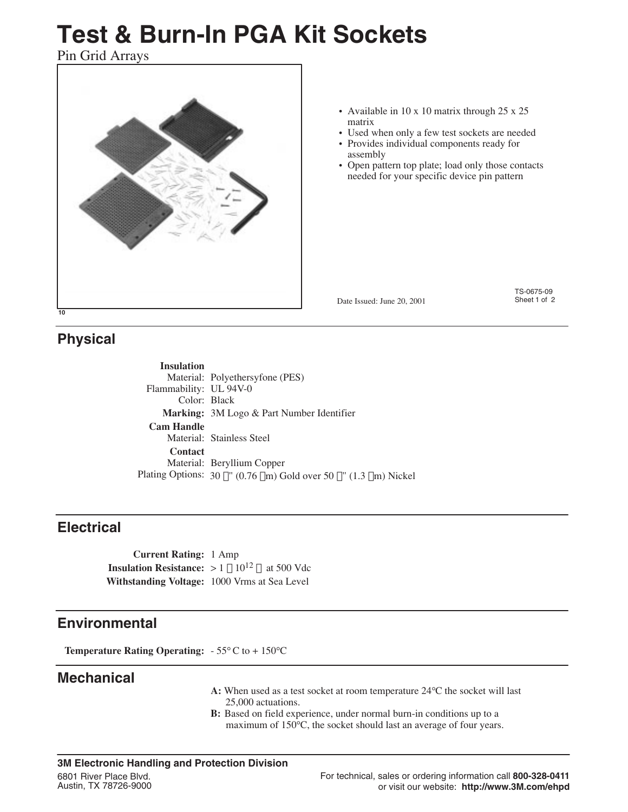# **Test & Burn-In PGA Kit Sockets**

Pin Grid Arrays



- Available in 10 x 10 matrix through 25 x 25 matrix
- • Used when only a few test sockets are needed
- Provides individual components ready for assembly
- Open pattern top plate; load only those contacts needed for your specific device pin pattern

Date Issued: June 20, 2001

TS-0675-09 Sheet 1 of 2

## **Physical**

**Insulation** Material: Polyethersyfone (PES) Flammability: UL 94V-0 Color: Black **Marking:** 3M Logo & Part Number Identifier **Cam Handle** Material: Stainless Steel **Contact** Material: Beryllium Copper Plating Options:  $30 \mu$ " (0.76  $\mu$ m) Gold over 50  $\mu$ " (1.3  $\mu$ m) Nickel

## **Electrical**

**Current Rating:** 1 Amp **Insulation Resistance:**  $> 1 \times 10^{12}$  Q at 500 Vdc **Withstanding Voltage:** 1000 Vrms at Sea Level

## **Environmental**

**Temperature Rating Operating:** - 55°C to + 150°C

## **Mechanical**

- **A:** When used as a test socket at room temperature 24°C the socket will last 25,000 actuations.
- **B:** Based on field experience, under normal burn-in conditions up to a maximum of 150°C, the socket should last an average of four years.